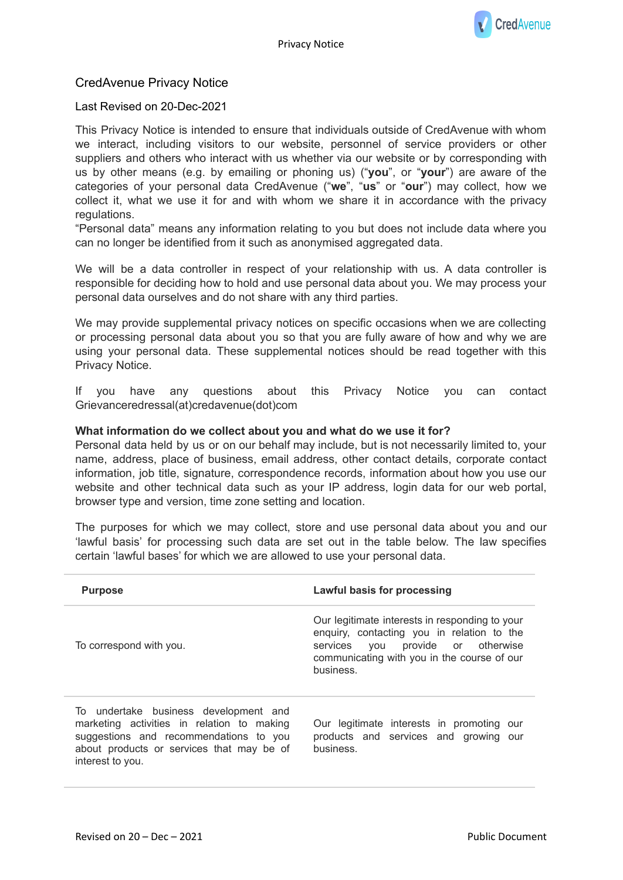# CredAvenue Privacy Notice

# Last Revised on 20-Dec-2021

This Privacy Notice is intended to ensure that individuals outside of CredAvenue with whom we interact, including visitors to our website, personnel of service providers or other suppliers and others who interact with us whether via our website or by corresponding with us by other means (e.g. by emailing or phoning us) ("**you**", or "**your**") are aware of the categories of your personal data CredAvenue ("**we**", "**us**" or "**our**") may collect, how we collect it, what we use it for and with whom we share it in accordance with the privacy regulations.

"Personal data" means any information relating to you but does not include data where you can no longer be identified from it such as anonymised aggregated data.

We will be a data controller in respect of your relationship with us. A data controller is responsible for deciding how to hold and use personal data about you. We may process your personal data ourselves and do not share with any third parties.

We may provide supplemental privacy notices on specific occasions when we are collecting or processing personal data about you so that you are fully aware of how and why we are using your personal data. These supplemental notices should be read together with this Privacy Notice.

If you have any questions about this Privacy Notice you can contact Grievanceredressal(at)credavenue(dot)com

### **What information do we collect about you and what do we use it for?**

Personal data held by us or on our behalf may include, but is not necessarily limited to, your name, address, place of business, email address, other contact details, corporate contact information, job title, signature, correspondence records, information about how you use our website and other technical data such as your IP address, login data for our web portal, browser type and version, time zone setting and location.

The purposes for which we may collect, store and use personal data about you and our 'lawful basis' for processing such data are set out in the table below. The law specifies certain 'lawful bases' for which we are allowed to use your personal data.

| <b>Purpose</b>                                                                                                                                                                                 | Lawful basis for processing                                                                                                                                                                   |
|------------------------------------------------------------------------------------------------------------------------------------------------------------------------------------------------|-----------------------------------------------------------------------------------------------------------------------------------------------------------------------------------------------|
| To correspond with you.                                                                                                                                                                        | Our legitimate interests in responding to your<br>enquiry, contacting you in relation to the<br>services you provide or otherwise<br>communicating with you in the course of our<br>business. |
| To undertake business development and<br>marketing activities in relation to making<br>suggestions and recommendations to you<br>about products or services that may be of<br>interest to you. | Our legitimate interests in promoting our<br>products and services and growing our<br>business.                                                                                               |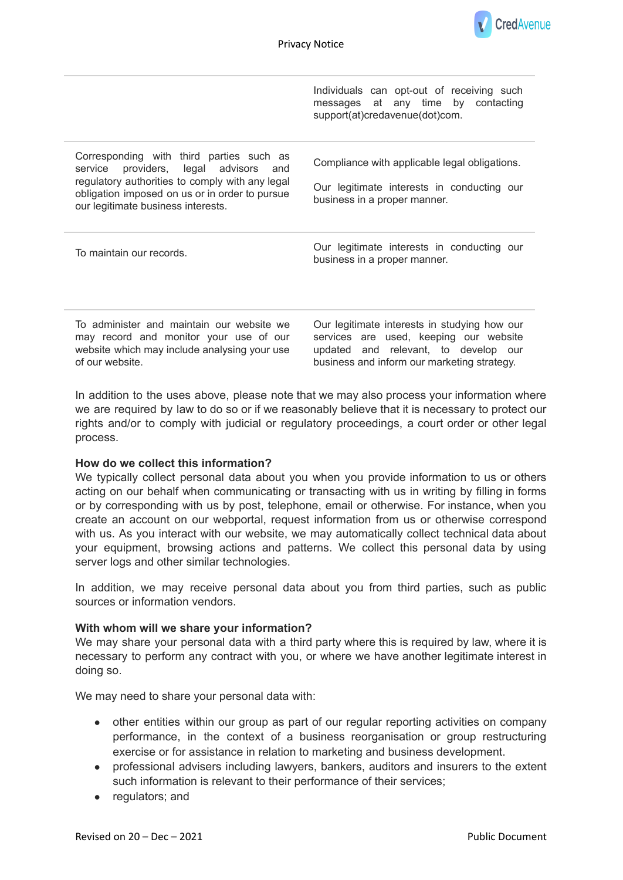

|                                                                                                                                                                                                                              | Individuals can opt-out of receiving such<br>messages at any time by contacting<br>support(at)credavenue(dot)com.           |
|------------------------------------------------------------------------------------------------------------------------------------------------------------------------------------------------------------------------------|-----------------------------------------------------------------------------------------------------------------------------|
| Corresponding with third parties such as<br>service providers, legal advisors and<br>regulatory authorities to comply with any legal<br>obligation imposed on us or in order to pursue<br>our legitimate business interests. | Compliance with applicable legal obligations.<br>Our legitimate interests in conducting our<br>business in a proper manner. |
| To maintain our records.                                                                                                                                                                                                     | Our legitimate interests in conducting our<br>business in a proper manner.                                                  |

To administer and maintain our website we may record and monitor your use of our website which may include analysing your use of our website.

Our legitimate interests in studying how our services are used, keeping our website updated and relevant, to develop our business and inform our marketing strategy.

In addition to the uses above, please note that we may also process your information where we are required by law to do so or if we reasonably believe that it is necessary to protect our rights and/or to comply with judicial or regulatory proceedings, a court order or other legal process.

#### **How do we collect this information?**

We typically collect personal data about you when you provide information to us or others acting on our behalf when communicating or transacting with us in writing by filling in forms or by corresponding with us by post, telephone, email or otherwise. For instance, when you create an account on our webportal, request information from us or otherwise correspond with us. As you interact with our website, we may automatically collect technical data about your equipment, browsing actions and patterns. We collect this personal data by using server logs and other similar technologies.

In addition, we may receive personal data about you from third parties, such as public sources or information vendors.

#### **With whom will we share your information?**

We may share your personal data with a third party where this is required by law, where it is necessary to perform any contract with you, or where we have another legitimate interest in doing so.

We may need to share your personal data with:

- other entities within our group as part of our regular reporting activities on company performance, in the context of a business reorganisation or group restructuring exercise or for assistance in relation to marketing and business development.
- professional advisers including lawyers, bankers, auditors and insurers to the extent such information is relevant to their performance of their services;
- regulators; and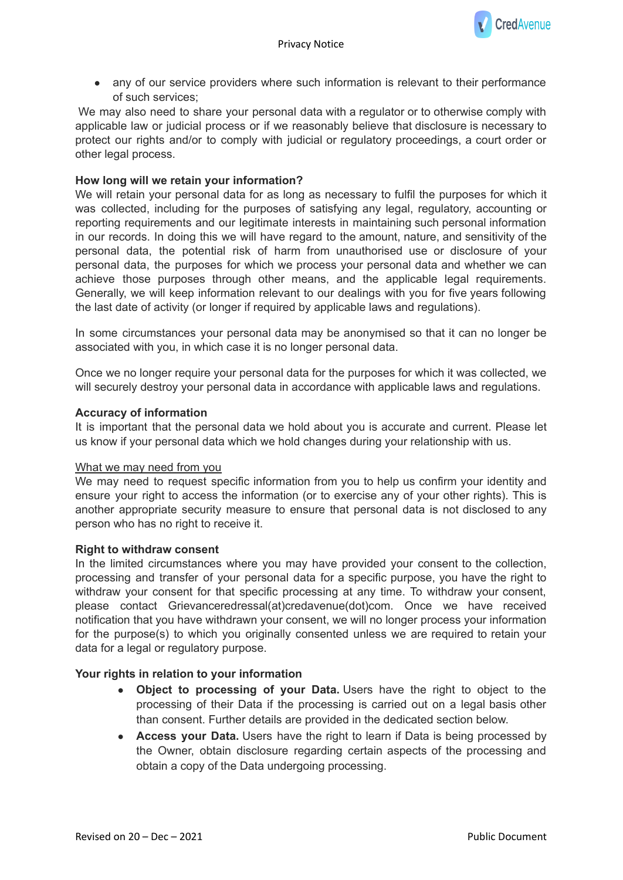

• any of our service providers where such information is relevant to their performance of such services;

We may also need to share your personal data with a regulator or to otherwise comply with applicable law or judicial process or if we reasonably believe that disclosure is necessary to protect our rights and/or to comply with judicial or regulatory proceedings, a court order or other legal process.

## **How long will we retain your information?**

We will retain your personal data for as long as necessary to fulfil the purposes for which it was collected, including for the purposes of satisfying any legal, regulatory, accounting or reporting requirements and our legitimate interests in maintaining such personal information in our records. In doing this we will have regard to the amount, nature, and sensitivity of the personal data, the potential risk of harm from unauthorised use or disclosure of your personal data, the purposes for which we process your personal data and whether we can achieve those purposes through other means, and the applicable legal requirements. Generally, we will keep information relevant to our dealings with you for five years following the last date of activity (or longer if required by applicable laws and regulations).

In some circumstances your personal data may be anonymised so that it can no longer be associated with you, in which case it is no longer personal data.

Once we no longer require your personal data for the purposes for which it was collected, we will securely destroy your personal data in accordance with applicable laws and regulations.

### **Accuracy of information**

It is important that the personal data we hold about you is accurate and current. Please let us know if your personal data which we hold changes during your relationship with us.

#### What we may need from you

We may need to request specific information from you to help us confirm your identity and ensure your right to access the information (or to exercise any of your other rights). This is another appropriate security measure to ensure that personal data is not disclosed to any person who has no right to receive it.

#### **Right to withdraw consent**

In the limited circumstances where you may have provided your consent to the collection, processing and transfer of your personal data for a specific purpose, you have the right to withdraw your consent for that specific processing at any time. To withdraw your consent, please contact Grievanceredressal(at)credavenue(dot)com. Once we have received notification that you have withdrawn your consent, we will no longer process your information for the purpose(s) to which you originally consented unless we are required to retain your data for a legal or regulatory purpose.

# **Your rights in relation to your information**

- **Object to processing of your Data.** Users have the right to object to the processing of their Data if the processing is carried out on a legal basis other than consent. Further details are provided in the dedicated section below.
- **Access your Data.** Users have the right to learn if Data is being processed by the Owner, obtain disclosure regarding certain aspects of the processing and obtain a copy of the Data undergoing processing.